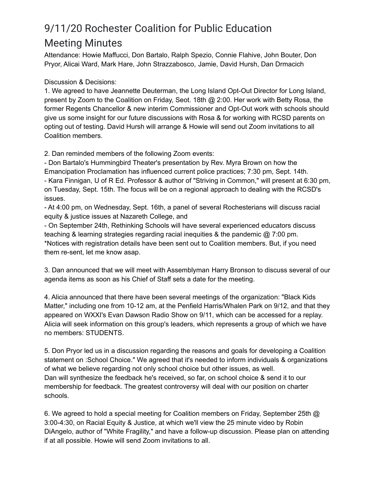## 9/11/20 Rochester Coalition for Public Education Meeting Minutes

Attendance: Howie Maffucci, Don Bartalo, Ralph Spezio, Connie Flahive, John Bouter, Don Pryor, Alicai Ward, Mark Hare, John Strazzabosco, Jamie, David Hursh, Dan Drmacich

Discussion & Decisions:

1. We agreed to have Jeannette Deuterman, the Long Island Opt-Out Director for Long Island, present by Zoom to the Coalition on Friday, Seot. 18th @ 2:00. Her work with Betty Rosa, the former Regents Chancellor & new interim Commissioner and Opt-Out work with schools should give us some insight for our future discussions with Rosa & for working with RCSD parents on opting out of testing. David Hursh will arrange & Howie will send out Zoom invitations to all Coalition members.

2. Dan reminded members of the following Zoom events:

- Don Bartalo's Hummingbird Theater's presentation by Rev. Myra Brown on how the Emancipation Proclamation has influenced current police practices; 7:30 pm, Sept. 14th. - Kara Finnigan, U of R Ed. Professor & author of "Striving in Common," will present at 6:30 pm, on Tuesday, Sept. 15th. The focus will be on a regional approach to dealing with the RCSD's issues.

- At 4:00 pm, on Wednesday, Sept. 16th, a panel of several Rochesterians will discuss racial equity & justice issues at Nazareth College, and

- On September 24th, Rethinking Schools will have several experienced educators discuss teaching & learning strategies regarding racial inequities & the pandemic @ 7:00 pm. \*Notices with registration details have been sent out to Coalition members. But, if you need them re-sent, let me know asap.

3. Dan announced that we will meet with Assemblyman Harry Bronson to discuss several of our agenda items as soon as his Chief of Staff sets a date for the meeting.

4. Alicia announced that there have been several meetings of the organization: "Black Kids Matter," including one from 10-12 am, at the Penfield Harris/Whalen Park on 9/12, and that they appeared on WXXI's Evan Dawson Radio Show on 9/11, which can be accessed for a replay. Alicia will seek information on this group's leaders, which represents a group of which we have no members: STUDENTS.

5. Don Pryor led us in a discussion regarding the reasons and goals for developing a Coalition statement on :School Choice." We agreed that it's needed to inform individuals & organizations of what we believe regarding not only school choice but other issues, as well. Dan will synthesize the feedback he's received, so far, on school choice & send it to our membership for feedback. The greatest controversy will deal with our position on charter schools.

6. We agreed to hold a special meeting for Coalition members on Friday, September 25th @ 3:00-4:30, on Racial Equity & Justice, at which we'll view the 25 minute video by Robin DiAngelo, author of "White Fragility," and have a follow-up discussion. Please plan on attending if at all possible. Howie will send Zoom invitations to all.